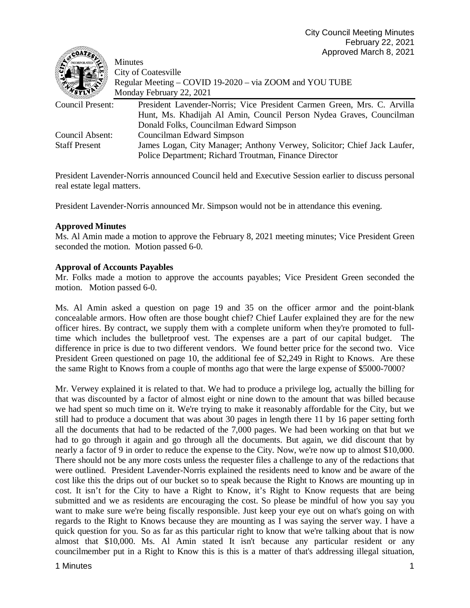| SCOMIES              | 1.1910100110101101012021                                                 |
|----------------------|--------------------------------------------------------------------------|
|                      | <b>Minutes</b>                                                           |
|                      | City of Coatesville                                                      |
|                      | Regular Meeting – COVID 19-2020 – via ZOOM and YOU TUBE                  |
|                      | Monday February 22, 2021                                                 |
| Council Present:     | President Lavender-Norris; Vice President Carmen Green, Mrs. C. Arvilla  |
|                      | Hunt, Ms. Khadijah Al Amin, Council Person Nydea Graves, Councilman      |
|                      | Donald Folks, Councilman Edward Simpson                                  |
| Council Absent:      | Councilman Edward Simpson                                                |
| <b>Staff Present</b> | James Logan, City Manager; Anthony Verwey, Solicitor; Chief Jack Laufer, |
|                      | Police Department; Richard Troutman, Finance Director                    |

President Lavender-Norris announced Council held and Executive Session earlier to discuss personal real estate legal matters.

President Lavender-Norris announced Mr. Simpson would not be in attendance this evening.

#### **Approved Minutes**

Ms. Al Amin made a motion to approve the February 8, 2021 meeting minutes; Vice President Green seconded the motion. Motion passed 6-0.

#### **Approval of Accounts Payables**

Mr. Folks made a motion to approve the accounts payables; Vice President Green seconded the motion. Motion passed 6-0.

Ms. Al Amin asked a question on page 19 and 35 on the officer armor and the point-blank concealable armors. How often are those bought chief? Chief Laufer explained they are for the new officer hires. By contract, we supply them with a complete uniform when they're promoted to fulltime which includes the bulletproof vest. The expenses are a part of our capital budget. The difference in price is due to two different vendors. We found better price for the second two. Vice President Green questioned on page 10, the additional fee of \$2,249 in Right to Knows. Are these the same Right to Knows from a couple of months ago that were the large expense of \$5000-7000?

Mr. Verwey explained it is related to that. We had to produce a privilege log, actually the billing for that was discounted by a factor of almost eight or nine down to the amount that was billed because we had spent so much time on it. We're trying to make it reasonably affordable for the City, but we still had to produce a document that was about 30 pages in length there 11 by 16 paper setting forth all the documents that had to be redacted of the 7,000 pages. We had been working on that but we had to go through it again and go through all the documents. But again, we did discount that by nearly a factor of 9 in order to reduce the expense to the City. Now, we're now up to almost \$10,000. There should not be any more costs unless the requester files a challenge to any of the redactions that were outlined. President Lavender-Norris explained the residents need to know and be aware of the cost like this the drips out of our bucket so to speak because the Right to Knows are mounting up in cost. It isn't for the City to have a Right to Know, it's Right to Know requests that are being submitted and we as residents are encouraging the cost. So please be mindful of how you say you want to make sure we're being fiscally responsible. Just keep your eye out on what's going on with regards to the Right to Knows because they are mounting as I was saying the server way. I have a quick question for you. So as far as this particular right to know that we're talking about that is now almost that \$10,000. Ms. Al Amin stated It isn't because any particular resident or any councilmember put in a Right to Know this is this is a matter of that's addressing illegal situation,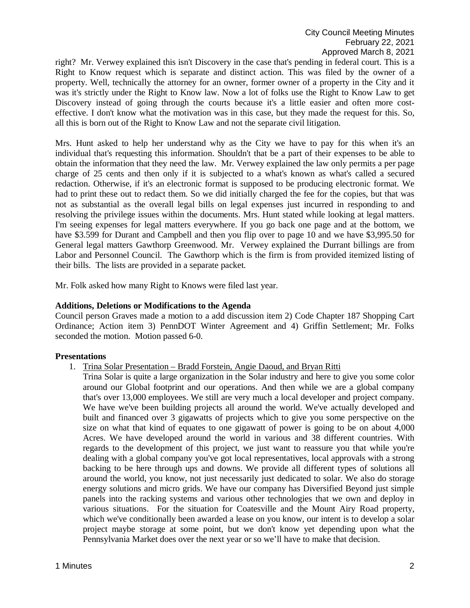right? Mr. Verwey explained this isn't Discovery in the case that's pending in federal court. This is a Right to Know request which is separate and distinct action. This was filed by the owner of a property. Well, technically the attorney for an owner, former owner of a property in the City and it was it's strictly under the Right to Know law. Now a lot of folks use the Right to Know Law to get Discovery instead of going through the courts because it's a little easier and often more costeffective. I don't know what the motivation was in this case, but they made the request for this. So, all this is born out of the Right to Know Law and not the separate civil litigation.

Mrs. Hunt asked to help her understand why as the City we have to pay for this when it's an individual that's requesting this information. Shouldn't that be a part of their expenses to be able to obtain the information that they need the law. Mr. Verwey explained the law only permits a per page charge of 25 cents and then only if it is subjected to a what's known as what's called a secured redaction. Otherwise, if it's an electronic format is supposed to be producing electronic format. We had to print these out to redact them. So we did initially charged the fee for the copies, but that was not as substantial as the overall legal bills on legal expenses just incurred in responding to and resolving the privilege issues within the documents. Mrs. Hunt stated while looking at legal matters. I'm seeing expenses for legal matters everywhere. If you go back one page and at the bottom, we have \$3.599 for Durant and Campbell and then you flip over to page 10 and we have \$3,995.50 for General legal matters Gawthorp Greenwood. Mr. Verwey explained the Durrant billings are from Labor and Personnel Council. The Gawthorp which is the firm is from provided itemized listing of their bills. The lists are provided in a separate packet.

Mr. Folk asked how many Right to Knows were filed last year.

#### **Additions, Deletions or Modifications to the Agenda**

Council person Graves made a motion to a add discussion item 2) Code Chapter 187 Shopping Cart Ordinance; Action item 3) PennDOT Winter Agreement and 4) Griffin Settlement; Mr. Folks seconded the motion. Motion passed 6-0.

### **Presentations**

- 1. Trina Solar Presentation Bradd Forstein, Angie Daoud, and Bryan Ritti
	- Trina Solar is quite a large organization in the Solar industry and here to give you some color around our Global footprint and our operations. And then while we are a global company that's over 13,000 employees. We still are very much a local developer and project company. We have we've been building projects all around the world. We've actually developed and built and financed over 3 gigawatts of projects which to give you some perspective on the size on what that kind of equates to one gigawatt of power is going to be on about 4,000 Acres. We have developed around the world in various and 38 different countries. With regards to the development of this project, we just want to reassure you that while you're dealing with a global company you've got local representatives, local approvals with a strong backing to be here through ups and downs. We provide all different types of solutions all around the world, you know, not just necessarily just dedicated to solar. We also do storage energy solutions and micro grids. We have our company has Diversified Beyond just simple panels into the racking systems and various other technologies that we own and deploy in various situations. For the situation for Coatesville and the Mount Airy Road property, which we've conditionally been awarded a lease on you know, our intent is to develop a solar project maybe storage at some point, but we don't know yet depending upon what the Pennsylvania Market does over the next year or so we'll have to make that decision.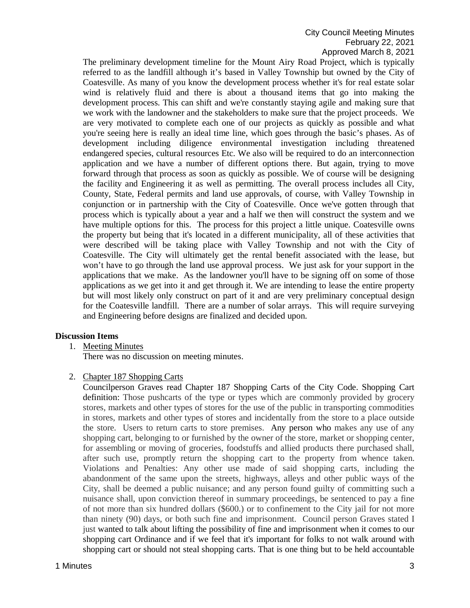# City Council Meeting Minutes February 22, 2021 Approved March 8, 2021

The preliminary development timeline for the Mount Airy Road Project, which is typically referred to as the landfill although it's based in Valley Township but owned by the City of Coatesville. As many of you know the development process whether it's for real estate solar wind is relatively fluid and there is about a thousand items that go into making the development process. This can shift and we're constantly staying agile and making sure that we work with the landowner and the stakeholders to make sure that the project proceeds. We are very motivated to complete each one of our projects as quickly as possible and what you're seeing here is really an ideal time line, which goes through the basic's phases. As of development including diligence environmental investigation including threatened endangered species, cultural resources Etc. We also will be required to do an interconnection application and we have a number of different options there. But again, trying to move forward through that process as soon as quickly as possible. We of course will be designing the facility and Engineering it as well as permitting. The overall process includes all City, County, State, Federal permits and land use approvals, of course, with Valley Township in conjunction or in partnership with the City of Coatesville. Once we've gotten through that process which is typically about a year and a half we then will construct the system and we have multiple options for this. The process for this project a little unique. Coatesville owns the property but being that it's located in a different municipality, all of these activities that were described will be taking place with Valley Township and not with the City of Coatesville. The City will ultimately get the rental benefit associated with the lease, but won't have to go through the land use approval process. We just ask for your support in the applications that we make. As the landowner you'll have to be signing off on some of those applications as we get into it and get through it. We are intending to lease the entire property but will most likely only construct on part of it and are very preliminary conceptual design for the Coatesville landfill. There are a number of solar arrays. This will require surveying and Engineering before designs are finalized and decided upon.

### **Discussion Items**

1. Meeting Minutes

There was no discussion on meeting minutes.

2. Chapter 187 Shopping Carts

Councilperson Graves read Chapter 187 Shopping Carts of the City Code. Shopping Cart definition: Those pushcarts of the type or types which are commonly provided by grocery stores, markets and other types of stores for the use of the public in transporting commodities in stores, markets and other types of stores and incidentally from the store to a place outside the store. Users to return carts to store premises. Any person who makes any use of any shopping cart, belonging to or furnished by the owner of the store, market or shopping center, for assembling or moving of groceries, foodstuffs and allied products there purchased shall, after such use, promptly return the shopping cart to the property from whence taken. Violations and Penalties: Any other use made of said shopping carts, including the abandonment of the same upon the streets, highways, alleys and other public ways of the City, shall be deemed a public nuisance; and any person found guilty of committing such a nuisance shall, upon conviction thereof in summary proceedings, be sentenced to pay a fine of not more than six hundred dollars (\$600.) or to confinement to the City jail for not more than ninety (90) days, or both such fine and imprisonment. Council person Graves stated I just wanted to talk about lifting the possibility of fine and imprisonment when it comes to our shopping cart Ordinance and if we feel that it's important for folks to not walk around with shopping cart or should not steal shopping carts. That is one thing but to be held accountable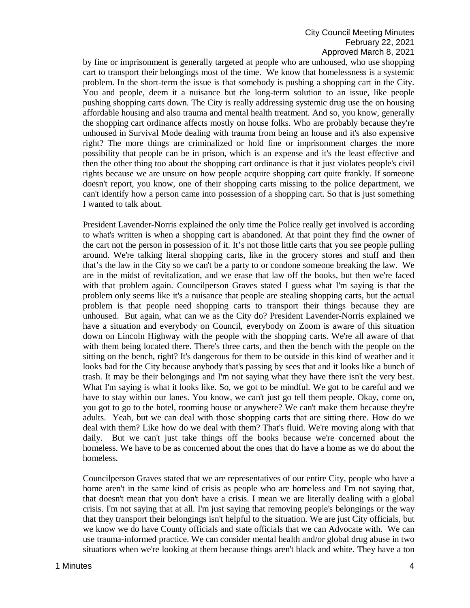# City Council Meeting Minutes February 22, 2021 Approved March 8, 2021

by fine or imprisonment is generally targeted at people who are unhoused, who use shopping cart to transport their belongings most of the time. We know that homelessness is a systemic problem. In the short-term the issue is that somebody is pushing a shopping cart in the City. You and people, deem it a nuisance but the long-term solution to an issue, like people pushing shopping carts down. The City is really addressing systemic drug use the on housing affordable housing and also trauma and mental health treatment. And so, you know, generally the shopping cart ordinance affects mostly on house folks. Who are probably because they're unhoused in Survival Mode dealing with trauma from being an house and it's also expensive right? The more things are criminalized or hold fine or imprisonment charges the more possibility that people can be in prison, which is an expense and it's the least effective and then the other thing too about the shopping cart ordinance is that it just violates people's civil rights because we are unsure on how people acquire shopping cart quite frankly. If someone doesn't report, you know, one of their shopping carts missing to the police department, we can't identify how a person came into possession of a shopping cart. So that is just something I wanted to talk about.

President Lavender-Norris explained the only time the Police really get involved is according to what's written is when a shopping cart is abandoned. At that point they find the owner of the cart not the person in possession of it. It's not those little carts that you see people pulling around. We're talking literal shopping carts, like in the grocery stores and stuff and then that's the law in the City so we can't be a party to or condone someone breaking the law. We are in the midst of revitalization, and we erase that law off the books, but then we're faced with that problem again. Councilperson Graves stated I guess what I'm saying is that the problem only seems like it's a nuisance that people are stealing shopping carts, but the actual problem is that people need shopping carts to transport their things because they are unhoused. But again, what can we as the City do? President Lavender-Norris explained we have a situation and everybody on Council, everybody on Zoom is aware of this situation down on Lincoln Highway with the people with the shopping carts. We're all aware of that with them being located there. There's three carts, and then the bench with the people on the sitting on the bench, right? It's dangerous for them to be outside in this kind of weather and it looks bad for the City because anybody that's passing by sees that and it looks like a bunch of trash. It may be their belongings and I'm not saying what they have there isn't the very best. What I'm saying is what it looks like. So, we got to be mindful. We got to be careful and we have to stay within our lanes. You know, we can't just go tell them people. Okay, come on, you got to go to the hotel, rooming house or anywhere? We can't make them because they're adults. Yeah, but we can deal with those shopping carts that are sitting there. How do we deal with them? Like how do we deal with them? That's fluid. We're moving along with that daily. But we can't just take things off the books because we're concerned about the homeless. We have to be as concerned about the ones that do have a home as we do about the homeless.

Councilperson Graves stated that we are representatives of our entire City, people who have a home aren't in the same kind of crisis as people who are homeless and I'm not saying that, that doesn't mean that you don't have a crisis. I mean we are literally dealing with a global crisis. I'm not saying that at all. I'm just saying that removing people's belongings or the way that they transport their belongings isn't helpful to the situation. We are just City officials, but we know we do have County officials and state officials that we can Advocate with. We can use trauma-informed practice. We can consider mental health and/or global drug abuse in two situations when we're looking at them because things aren't black and white. They have a ton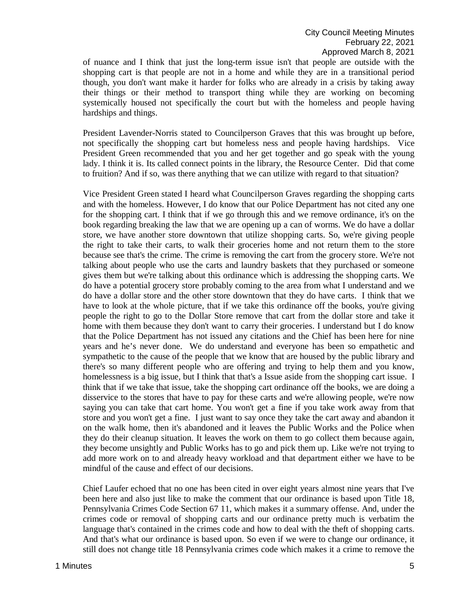of nuance and I think that just the long-term issue isn't that people are outside with the shopping cart is that people are not in a home and while they are in a transitional period though, you don't want make it harder for folks who are already in a crisis by taking away their things or their method to transport thing while they are working on becoming systemically housed not specifically the court but with the homeless and people having hardships and things.

President Lavender-Norris stated to Councilperson Graves that this was brought up before, not specifically the shopping cart but homeless ness and people having hardships. Vice President Green recommended that you and her get together and go speak with the young lady. I think it is. Its called connect points in the library, the Resource Center. Did that come to fruition? And if so, was there anything that we can utilize with regard to that situation?

Vice President Green stated I heard what Councilperson Graves regarding the shopping carts and with the homeless. However, I do know that our Police Department has not cited any one for the shopping cart. I think that if we go through this and we remove ordinance, it's on the book regarding breaking the law that we are opening up a can of worms. We do have a dollar store, we have another store downtown that utilize shopping carts. So, we're giving people the right to take their carts, to walk their groceries home and not return them to the store because see that's the crime. The crime is removing the cart from the grocery store. We're not talking about people who use the carts and laundry baskets that they purchased or someone gives them but we're talking about this ordinance which is addressing the shopping carts. We do have a potential grocery store probably coming to the area from what I understand and we do have a dollar store and the other store downtown that they do have carts. I think that we have to look at the whole picture, that if we take this ordinance off the books, you're giving people the right to go to the Dollar Store remove that cart from the dollar store and take it home with them because they don't want to carry their groceries. I understand but I do know that the Police Department has not issued any citations and the Chief has been here for nine years and he's never done. We do understand and everyone has been so empathetic and sympathetic to the cause of the people that we know that are housed by the public library and there's so many different people who are offering and trying to help them and you know, homelessness is a big issue, but I think that that's a Issue aside from the shopping cart issue. I think that if we take that issue, take the shopping cart ordinance off the books, we are doing a disservice to the stores that have to pay for these carts and we're allowing people, we're now saying you can take that cart home. You won't get a fine if you take work away from that store and you won't get a fine. I just want to say once they take the cart away and abandon it on the walk home, then it's abandoned and it leaves the Public Works and the Police when they do their cleanup situation. It leaves the work on them to go collect them because again, they become unsightly and Public Works has to go and pick them up. Like we're not trying to add more work on to and already heavy workload and that department either we have to be mindful of the cause and effect of our decisions.

Chief Laufer echoed that no one has been cited in over eight years almost nine years that I've been here and also just like to make the comment that our ordinance is based upon Title 18, Pennsylvania Crimes Code Section 67 11, which makes it a summary offense. And, under the crimes code or removal of shopping carts and our ordinance pretty much is verbatim the language that's contained in the crimes code and how to deal with the theft of shopping carts. And that's what our ordinance is based upon. So even if we were to change our ordinance, it still does not change title 18 Pennsylvania crimes code which makes it a crime to remove the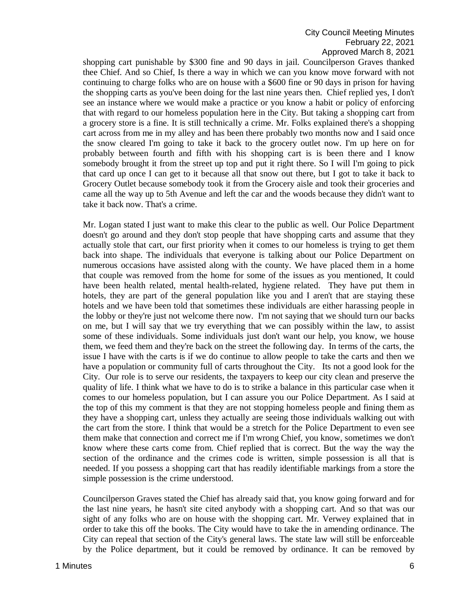# City Council Meeting Minutes February 22, 2021 Approved March 8, 2021

shopping cart punishable by \$300 fine and 90 days in jail. Councilperson Graves thanked thee Chief. And so Chief, Is there a way in which we can you know move forward with not continuing to charge folks who are on house with a \$600 fine or 90 days in prison for having the shopping carts as you've been doing for the last nine years then. Chief replied yes, I don't see an instance where we would make a practice or you know a habit or policy of enforcing that with regard to our homeless population here in the City. But taking a shopping cart from a grocery store is a fine. It is still technically a crime. Mr. Folks explained there's a shopping cart across from me in my alley and has been there probably two months now and I said once the snow cleared I'm going to take it back to the grocery outlet now. I'm up here on for probably between fourth and fifth with his shopping cart is is been there and I know somebody brought it from the street up top and put it right there. So I will I'm going to pick that card up once I can get to it because all that snow out there, but I got to take it back to Grocery Outlet because somebody took it from the Grocery aisle and took their groceries and came all the way up to 5th Avenue and left the car and the woods because they didn't want to take it back now. That's a crime.

Mr. Logan stated I just want to make this clear to the public as well. Our Police Department doesn't go around and they don't stop people that have shopping carts and assume that they actually stole that cart, our first priority when it comes to our homeless is trying to get them back into shape. The individuals that everyone is talking about our Police Department on numerous occasions have assisted along with the county. We have placed them in a home that couple was removed from the home for some of the issues as you mentioned, It could have been health related, mental health-related, hygiene related. They have put them in hotels, they are part of the general population like you and I aren't that are staying these hotels and we have been told that sometimes these individuals are either harassing people in the lobby or they're just not welcome there now. I'm not saying that we should turn our backs on me, but I will say that we try everything that we can possibly within the law, to assist some of these individuals. Some individuals just don't want our help, you know, we house them, we feed them and they're back on the street the following day. In terms of the carts, the issue I have with the carts is if we do continue to allow people to take the carts and then we have a population or community full of carts throughout the City. Its not a good look for the City. Our role is to serve our residents, the taxpayers to keep our city clean and preserve the quality of life. I think what we have to do is to strike a balance in this particular case when it comes to our homeless population, but I can assure you our Police Department. As I said at the top of this my comment is that they are not stopping homeless people and fining them as they have a shopping cart, unless they actually are seeing those individuals walking out with the cart from the store. I think that would be a stretch for the Police Department to even see them make that connection and correct me if I'm wrong Chief, you know, sometimes we don't know where these carts come from. Chief replied that is correct. But the way the way the section of the ordinance and the crimes code is written, simple possession is all that is needed. If you possess a shopping cart that has readily identifiable markings from a store the simple possession is the crime understood.

Councilperson Graves stated the Chief has already said that, you know going forward and for the last nine years, he hasn't site cited anybody with a shopping cart. And so that was our sight of any folks who are on house with the shopping cart. Mr. Verwey explained that in order to take this off the books. The City would have to take the in amending ordinance. The City can repeal that section of the City's general laws. The state law will still be enforceable by the Police department, but it could be removed by ordinance. It can be removed by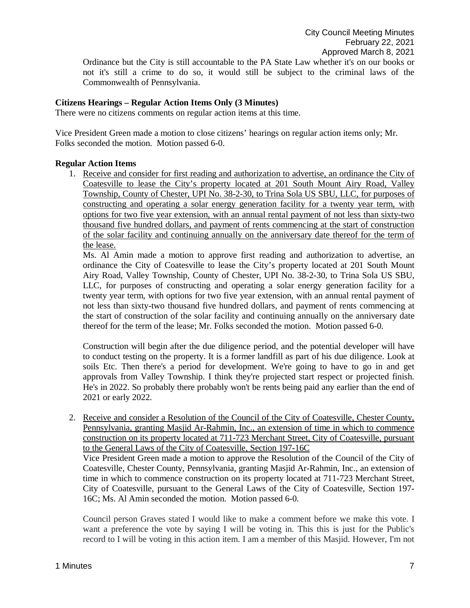Ordinance but the City is still accountable to the PA State Law whether it's on our books or not it's still a crime to do so, it would still be subject to the criminal laws of the Commonwealth of Pennsylvania.

#### **Citizens Hearings – Regular Action Items Only (3 Minutes)**

There were no citizens comments on regular action items at this time.

Vice President Green made a motion to close citizens' hearings on regular action items only; Mr. Folks seconded the motion. Motion passed 6-0.

#### **Regular Action Items**

1. Receive and consider for first reading and authorization to advertise, an ordinance the City of Coatesville to lease the City's property located at 201 South Mount Airy Road, Valley Township, County of Chester, UPI No. 38-2-30, to Trina Sola US SBU, LLC, for purposes of constructing and operating a solar energy generation facility for a twenty year term, with options for two five year extension, with an annual rental payment of not less than sixty-two thousand five hundred dollars, and payment of rents commencing at the start of construction of the solar facility and continuing annually on the anniversary date thereof for the term of the lease.

Ms. Al Amin made a motion to approve first reading and authorization to advertise, an ordinance the City of Coatesville to lease the City's property located at 201 South Mount Airy Road, Valley Township, County of Chester, UPI No. 38-2-30, to Trina Sola US SBU, LLC, for purposes of constructing and operating a solar energy generation facility for a twenty year term, with options for two five year extension, with an annual rental payment of not less than sixty-two thousand five hundred dollars, and payment of rents commencing at the start of construction of the solar facility and continuing annually on the anniversary date thereof for the term of the lease; Mr. Folks seconded the motion. Motion passed 6-0.

Construction will begin after the due diligence period, and the potential developer will have to conduct testing on the property. It is a former landfill as part of his due diligence. Look at soils Etc. Then there's a period for development. We're going to have to go in and get approvals from Valley Township. I think they're projected start respect or projected finish. He's in 2022. So probably there probably won't be rents being paid any earlier than the end of 2021 or early 2022.

2. Receive and consider a Resolution of the Council of the City of Coatesville, Chester County, Pennsylvania, granting Masjid Ar-Rahmin, Inc., an extension of time in which to commence construction on its property located at 711-723 Merchant Street, City of Coatesville, pursuant to the General Laws of the City of Coatesville, Section 197-16C

Vice President Green made a motion to approve the Resolution of the Council of the City of Coatesville, Chester County, Pennsylvania, granting Masjid Ar-Rahmin, Inc., an extension of time in which to commence construction on its property located at 711-723 Merchant Street, City of Coatesville, pursuant to the General Laws of the City of Coatesville, Section 197- 16C; Ms. Al Amin seconded the motion. Motion passed 6-0.

Council person Graves stated I would like to make a comment before we make this vote. I want a preference the vote by saying I will be voting in. This this is just for the Public's record to I will be voting in this action item. I am a member of this Masjid. However, I'm not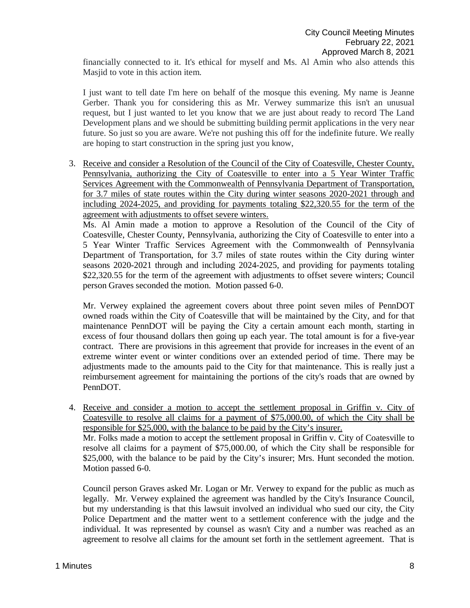financially connected to it. It's ethical for myself and Ms. Al Amin who also attends this Masjid to vote in this action item.

I just want to tell date I'm here on behalf of the mosque this evening. My name is Jeanne Gerber. Thank you for considering this as Mr. Verwey summarize this isn't an unusual request, but I just wanted to let you know that we are just about ready to record The Land Development plans and we should be submitting building permit applications in the very near future. So just so you are aware. We're not pushing this off for the indefinite future. We really are hoping to start construction in the spring just you know,

3. Receive and consider a Resolution of the Council of the City of Coatesville, Chester County, Pennsylvania, authorizing the City of Coatesville to enter into a 5 Year Winter Traffic Services Agreement with the Commonwealth of Pennsylvania Department of Transportation, for 3.7 miles of state routes within the City during winter seasons 2020-2021 through and including 2024-2025, and providing for payments totaling \$22,320.55 for the term of the agreement with adjustments to offset severe winters.

Ms. Al Amin made a motion to approve a Resolution of the Council of the City of Coatesville, Chester County, Pennsylvania, authorizing the City of Coatesville to enter into a 5 Year Winter Traffic Services Agreement with the Commonwealth of Pennsylvania Department of Transportation, for 3.7 miles of state routes within the City during winter seasons 2020-2021 through and including 2024-2025, and providing for payments totaling \$22,320.55 for the term of the agreement with adjustments to offset severe winters; Council person Graves seconded the motion. Motion passed 6-0.

Mr. Verwey explained the agreement covers about three point seven miles of PennDOT owned roads within the City of Coatesville that will be maintained by the City, and for that maintenance PennDOT will be paying the City a certain amount each month, starting in excess of four thousand dollars then going up each year. The total amount is for a five-year contract. There are provisions in this agreement that provide for increases in the event of an extreme winter event or winter conditions over an extended period of time. There may be adjustments made to the amounts paid to the City for that maintenance. This is really just a reimbursement agreement for maintaining the portions of the city's roads that are owned by PennDOT.

4. Receive and consider a motion to accept the settlement proposal in Griffin v. City of Coatesville to resolve all claims for a payment of \$75,000.00, of which the City shall be responsible for \$25,000, with the balance to be paid by the City's insurer. Mr. Folks made a motion to accept the settlement proposal in Griffin v. City of Coatesville to resolve all claims for a payment of \$75,000.00, of which the City shall be responsible for \$25,000, with the balance to be paid by the City's insurer; Mrs. Hunt seconded the motion. Motion passed 6-0.

Council person Graves asked Mr. Logan or Mr. Verwey to expand for the public as much as legally. Mr. Verwey explained the agreement was handled by the City's Insurance Council, but my understanding is that this lawsuit involved an individual who sued our city, the City Police Department and the matter went to a settlement conference with the judge and the individual. It was represented by counsel as wasn't City and a number was reached as an agreement to resolve all claims for the amount set forth in the settlement agreement. That is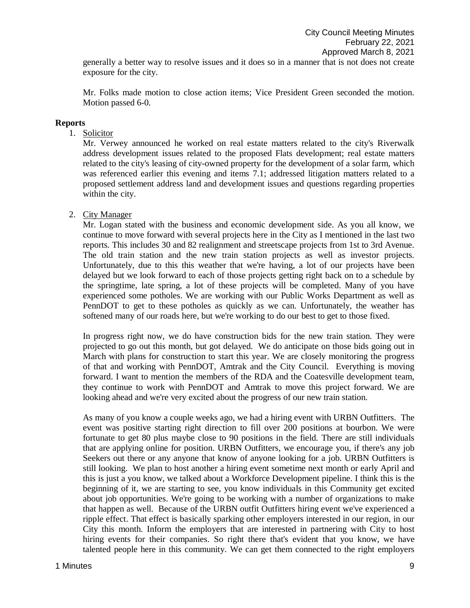generally a better way to resolve issues and it does so in a manner that is not does not create exposure for the city.

Mr. Folks made motion to close action items; Vice President Green seconded the motion. Motion passed 6-0.

#### **Reports**

1. Solicitor

Mr. Verwey announced he worked on real estate matters related to the city's Riverwalk address development issues related to the proposed Flats development; real estate matters related to the city's leasing of city-owned property for the development of a solar farm, which was referenced earlier this evening and items 7.1; addressed litigation matters related to a proposed settlement address land and development issues and questions regarding properties within the city.

### 2. City Manager

Mr. Logan stated with the business and economic development side. As you all know, we continue to move forward with several projects here in the City as I mentioned in the last two reports. This includes 30 and 82 realignment and streetscape projects from 1st to 3rd Avenue. The old train station and the new train station projects as well as investor projects. Unfortunately, due to this this weather that we're having, a lot of our projects have been delayed but we look forward to each of those projects getting right back on to a schedule by the springtime, late spring, a lot of these projects will be completed. Many of you have experienced some potholes. We are working with our Public Works Department as well as PennDOT to get to these potholes as quickly as we can. Unfortunately, the weather has softened many of our roads here, but we're working to do our best to get to those fixed.

In progress right now, we do have construction bids for the new train station. They were projected to go out this month, but got delayed. We do anticipate on those bids going out in March with plans for construction to start this year. We are closely monitoring the progress of that and working with PennDOT, Amtrak and the City Council. Everything is moving forward. I want to mention the members of the RDA and the Coatesville development team, they continue to work with PennDOT and Amtrak to move this project forward. We are looking ahead and we're very excited about the progress of our new train station.

As many of you know a couple weeks ago, we had a hiring event with URBN Outfitters. The event was positive starting right direction to fill over 200 positions at bourbon. We were fortunate to get 80 plus maybe close to 90 positions in the field. There are still individuals that are applying online for position. URBN Outfitters, we encourage you, if there's any job Seekers out there or any anyone that know of anyone looking for a job. URBN Outfitters is still looking. We plan to host another a hiring event sometime next month or early April and this is just a you know, we talked about a Workforce Development pipeline. I think this is the beginning of it, we are starting to see, you know individuals in this Community get excited about job opportunities. We're going to be working with a number of organizations to make that happen as well. Because of the URBN outfit Outfitters hiring event we've experienced a ripple effect. That effect is basically sparking other employers interested in our region, in our City this month. Inform the employers that are interested in partnering with City to host hiring events for their companies. So right there that's evident that you know, we have talented people here in this community. We can get them connected to the right employers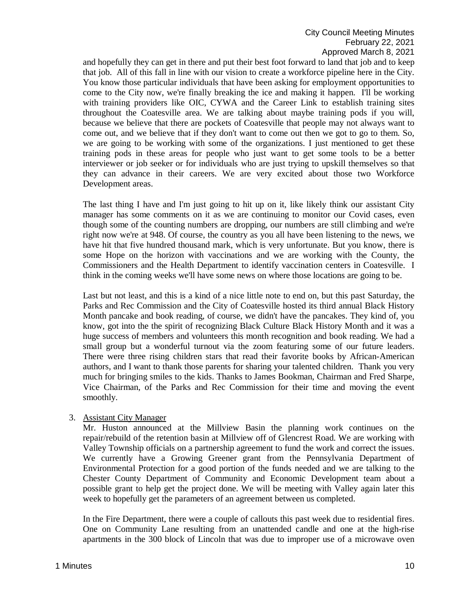and hopefully they can get in there and put their best foot forward to land that job and to keep that job. All of this fall in line with our vision to create a workforce pipeline here in the City. You know those particular individuals that have been asking for employment opportunities to come to the City now, we're finally breaking the ice and making it happen. I'll be working with training providers like OIC, CYWA and the Career Link to establish training sites throughout the Coatesville area. We are talking about maybe training pods if you will, because we believe that there are pockets of Coatesville that people may not always want to come out, and we believe that if they don't want to come out then we got to go to them. So, we are going to be working with some of the organizations. I just mentioned to get these training pods in these areas for people who just want to get some tools to be a better interviewer or job seeker or for individuals who are just trying to upskill themselves so that they can advance in their careers. We are very excited about those two Workforce Development areas.

The last thing I have and I'm just going to hit up on it, like likely think our assistant City manager has some comments on it as we are continuing to monitor our Covid cases, even though some of the counting numbers are dropping, our numbers are still climbing and we're right now we're at 948. Of course, the country as you all have been listening to the news, we have hit that five hundred thousand mark, which is very unfortunate. But you know, there is some Hope on the horizon with vaccinations and we are working with the County, the Commissioners and the Health Department to identify vaccination centers in Coatesville. I think in the coming weeks we'll have some news on where those locations are going to be.

Last but not least, and this is a kind of a nice little note to end on, but this past Saturday, the Parks and Rec Commission and the City of Coatesville hosted its third annual Black History Month pancake and book reading, of course, we didn't have the pancakes. They kind of, you know, got into the the spirit of recognizing Black Culture Black History Month and it was a huge success of members and volunteers this month recognition and book reading. We had a small group but a wonderful turnout via the zoom featuring some of our future leaders. There were three rising children stars that read their favorite books by African-American authors, and I want to thank those parents for sharing your talented children. Thank you very much for bringing smiles to the kids. Thanks to James Bookman, Chairman and Fred Sharpe, Vice Chairman, of the Parks and Rec Commission for their time and moving the event smoothly.

### 3. Assistant City Manager

Mr. Huston announced at the Millview Basin the planning work continues on the repair/rebuild of the retention basin at Millview off of Glencrest Road. We are working with Valley Township officials on a partnership agreement to fund the work and correct the issues. We currently have a Growing Greener grant from the Pennsylvania Department of Environmental Protection for a good portion of the funds needed and we are talking to the Chester County Department of Community and Economic Development team about a possible grant to help get the project done. We will be meeting with Valley again later this week to hopefully get the parameters of an agreement between us completed.

In the Fire Department, there were a couple of callouts this past week due to residential fires. One on Community Lane resulting from an unattended candle and one at the high-rise apartments in the 300 block of Lincoln that was due to improper use of a microwave oven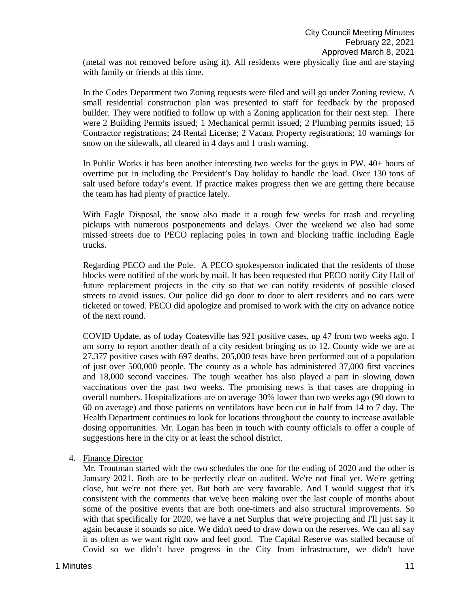(metal was not removed before using it). All residents were physically fine and are staying with family or friends at this time.

In the Codes Department two Zoning requests were filed and will go under Zoning review. A small residential construction plan was presented to staff for feedback by the proposed builder. They were notified to follow up with a Zoning application for their next step. There were 2 Building Permits issued; 1 Mechanical permit issued; 2 Plumbing permits issued; 15 Contractor registrations; 24 Rental License; 2 Vacant Property registrations; 10 warnings for snow on the sidewalk, all cleared in 4 days and 1 trash warning.

In Public Works it has been another interesting two weeks for the guys in PW. 40+ hours of overtime put in including the President's Day holiday to handle the load. Over 130 tons of salt used before today's event. If practice makes progress then we are getting there because the team has had plenty of practice lately.

With Eagle Disposal, the snow also made it a rough few weeks for trash and recycling pickups with numerous postponements and delays. Over the weekend we also had some missed streets due to PECO replacing poles in town and blocking traffic including Eagle trucks.

Regarding PECO and the Pole. A PECO spokesperson indicated that the residents of those blocks were notified of the work by mail. It has been requested that PECO notify City Hall of future replacement projects in the city so that we can notify residents of possible closed streets to avoid issues. Our police did go door to door to alert residents and no cars were ticketed or towed. PECO did apologize and promised to work with the city on advance notice of the next round.

COVID Update, as of today Coatesville has 921 positive cases, up 47 from two weeks ago. I am sorry to report another death of a city resident bringing us to 12. County wide we are at 27,377 positive cases with 697 deaths. 205,000 tests have been performed out of a population of just over 500,000 people. The county as a whole has administered 37,000 first vaccines and 18,000 second vaccines. The tough weather has also played a part in slowing down vaccinations over the past two weeks. The promising news is that cases are dropping in overall numbers. Hospitalizations are on average 30% lower than two weeks ago (90 down to 60 on average) and those patients on ventilators have been cut in half from 14 to 7 day. The Health Department continues to look for locations throughout the county to increase available dosing opportunities. Mr. Logan has been in touch with county officials to offer a couple of suggestions here in the city or at least the school district.

4. Finance Director

Mr. Troutman started with the two schedules the one for the ending of 2020 and the other is January 2021. Both are to be perfectly clear on audited. We're not final yet. We're getting close, but we're not there yet. But both are very favorable. And I would suggest that it's consistent with the comments that we've been making over the last couple of months about some of the positive events that are both one-timers and also structural improvements. So with that specifically for 2020, we have a net Surplus that we're projecting and I'll just say it again because it sounds so nice. We didn't need to draw down on the reserves. We can all say it as often as we want right now and feel good. The Capital Reserve was stalled because of Covid so we didn't have progress in the City from infrastructure, we didn't have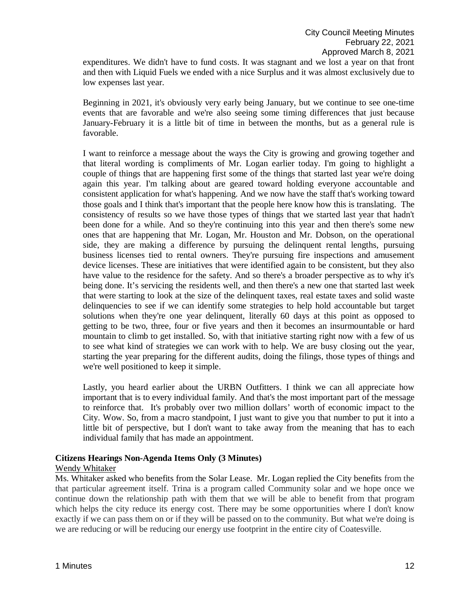expenditures. We didn't have to fund costs. It was stagnant and we lost a year on that front and then with Liquid Fuels we ended with a nice Surplus and it was almost exclusively due to low expenses last year.

Beginning in 2021, it's obviously very early being January, but we continue to see one-time events that are favorable and we're also seeing some timing differences that just because January-February it is a little bit of time in between the months, but as a general rule is favorable.

I want to reinforce a message about the ways the City is growing and growing together and that literal wording is compliments of Mr. Logan earlier today. I'm going to highlight a couple of things that are happening first some of the things that started last year we're doing again this year. I'm talking about are geared toward holding everyone accountable and consistent application for what's happening. And we now have the staff that's working toward those goals and I think that's important that the people here know how this is translating. The consistency of results so we have those types of things that we started last year that hadn't been done for a while. And so they're continuing into this year and then there's some new ones that are happening that Mr. Logan, Mr. Houston and Mr. Dobson, on the operational side, they are making a difference by pursuing the delinquent rental lengths, pursuing business licenses tied to rental owners. They're pursuing fire inspections and amusement device licenses. These are initiatives that were identified again to be consistent, but they also have value to the residence for the safety. And so there's a broader perspective as to why it's being done. It's servicing the residents well, and then there's a new one that started last week that were starting to look at the size of the delinquent taxes, real estate taxes and solid waste delinquencies to see if we can identify some strategies to help hold accountable but target solutions when they're one year delinquent, literally 60 days at this point as opposed to getting to be two, three, four or five years and then it becomes an insurmountable or hard mountain to climb to get installed. So, with that initiative starting right now with a few of us to see what kind of strategies we can work with to help. We are busy closing out the year, starting the year preparing for the different audits, doing the filings, those types of things and we're well positioned to keep it simple.

Lastly, you heard earlier about the URBN Outfitters. I think we can all appreciate how important that is to every individual family. And that's the most important part of the message to reinforce that. It's probably over two million dollars' worth of economic impact to the City. Wow. So, from a macro standpoint, I just want to give you that number to put it into a little bit of perspective, but I don't want to take away from the meaning that has to each individual family that has made an appointment.

# **Citizens Hearings Non-Agenda Items Only (3 Minutes)**

#### Wendy Whitaker

Ms. Whitaker asked who benefits from the Solar Lease. Mr. Logan replied the City benefits from the that particular agreement itself. Trina is a program called Community solar and we hope once we continue down the relationship path with them that we will be able to benefit from that program which helps the city reduce its energy cost. There may be some opportunities where I don't know exactly if we can pass them on or if they will be passed on to the community. But what we're doing is we are reducing or will be reducing our energy use footprint in the entire city of Coatesville.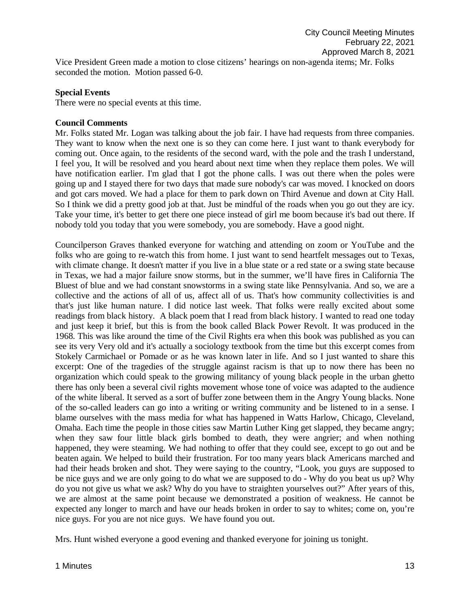Vice President Green made a motion to close citizens' hearings on non-agenda items; Mr. Folks seconded the motion. Motion passed 6-0.

### **Special Events**

There were no special events at this time.

#### **Council Comments**

Mr. Folks stated Mr. Logan was talking about the job fair. I have had requests from three companies. They want to know when the next one is so they can come here. I just want to thank everybody for coming out. Once again, to the residents of the second ward, with the pole and the trash I understand, I feel you, It will be resolved and you heard about next time when they replace them poles. We will have notification earlier. I'm glad that I got the phone calls. I was out there when the poles were going up and I stayed there for two days that made sure nobody's car was moved. I knocked on doors and got cars moved. We had a place for them to park down on Third Avenue and down at City Hall. So I think we did a pretty good job at that. Just be mindful of the roads when you go out they are icy. Take your time, it's better to get there one piece instead of girl me boom because it's bad out there. If nobody told you today that you were somebody, you are somebody. Have a good night.

Councilperson Graves thanked everyone for watching and attending on zoom or YouTube and the folks who are going to re-watch this from home. I just want to send heartfelt messages out to Texas, with climate change. It doesn't matter if you live in a blue state or a red state or a swing state because in Texas, we had a major failure snow storms, but in the summer, we'll have fires in California The Bluest of blue and we had constant snowstorms in a swing state like Pennsylvania. And so, we are a collective and the actions of all of us, affect all of us. That's how community collectivities is and that's just like human nature. I did notice last week. That folks were really excited about some readings from black history. A black poem that I read from black history. I wanted to read one today and just keep it brief, but this is from the book called Black Power Revolt. It was produced in the 1968. This was like around the time of the Civil Rights era when this book was published as you can see its very Very old and it's actually a sociology textbook from the time but this excerpt comes from Stokely Carmichael or Pomade or as he was known later in life. And so I just wanted to share this excerpt: One of the tragedies of the struggle against racism is that up to now there has been no organization which could speak to the growing militancy of young black people in the urban ghetto there has only been a several civil rights movement whose tone of voice was adapted to the audience of the white liberal. It served as a sort of buffer zone between them in the Angry Young blacks. None of the so-called leaders can go into a writing or writing community and be listened to in a sense. I blame ourselves with the mass media for what has happened in Watts Harlow, Chicago, Cleveland, Omaha. Each time the people in those cities saw Martin Luther King get slapped, they became angry; when they saw four little black girls bombed to death, they were angrier; and when nothing happened, they were steaming. We had nothing to offer that they could see, except to go out and be beaten again. We helped to build their frustration. For too many years black Americans marched and had their heads broken and shot. They were saying to the country, "Look, you guys are supposed to be nice guys and we are only going to do what we are supposed to do - Why do you beat us up? Why do you not give us what we ask? Why do you have to straighten yourselves out?" After years of this, we are almost at the same point because we demonstrated a position of weakness. He cannot be expected any longer to march and have our heads broken in order to say to whites; come on, you're nice guys. For you are not nice guys. We have found you out.

Mrs. Hunt wished everyone a good evening and thanked everyone for joining us tonight.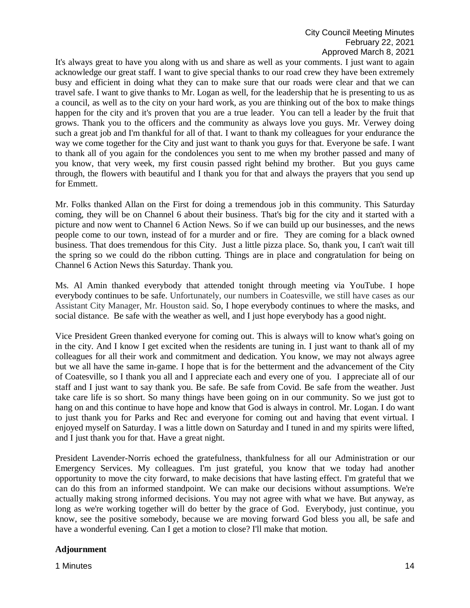It's always great to have you along with us and share as well as your comments. I just want to again acknowledge our great staff. I want to give special thanks to our road crew they have been extremely busy and efficient in doing what they can to make sure that our roads were clear and that we can travel safe. I want to give thanks to Mr. Logan as well, for the leadership that he is presenting to us as a council, as well as to the city on your hard work, as you are thinking out of the box to make things happen for the city and it's proven that you are a true leader. You can tell a leader by the fruit that grows. Thank you to the officers and the community as always love you guys. Mr. Verwey doing such a great job and I'm thankful for all of that. I want to thank my colleagues for your endurance the way we come together for the City and just want to thank you guys for that. Everyone be safe. I want to thank all of you again for the condolences you sent to me when my brother passed and many of you know, that very week, my first cousin passed right behind my brother. But you guys came through, the flowers with beautiful and I thank you for that and always the prayers that you send up for Emmett.

Mr. Folks thanked Allan on the First for doing a tremendous job in this community. This Saturday coming, they will be on Channel 6 about their business. That's big for the city and it started with a picture and now went to Channel 6 Action News. So if we can build up our businesses, and the news people come to our town, instead of for a murder and or fire. They are coming for a black owned business. That does tremendous for this City. Just a little pizza place. So, thank you, I can't wait till the spring so we could do the ribbon cutting. Things are in place and congratulation for being on Channel 6 Action News this Saturday. Thank you.

Ms. Al Amin thanked everybody that attended tonight through meeting via YouTube. I hope everybody continues to be safe. Unfortunately, our numbers in Coatesville, we still have cases as our Assistant City Manager, Mr. Houston said. So, I hope everybody continues to where the masks, and social distance. Be safe with the weather as well, and I just hope everybody has a good night.

Vice President Green thanked everyone for coming out. This is always will to know what's going on in the city. And I know I get excited when the residents are tuning in. I just want to thank all of my colleagues for all their work and commitment and dedication. You know, we may not always agree but we all have the same in-game. I hope that is for the betterment and the advancement of the City of Coatesville, so I thank you all and I appreciate each and every one of you. I appreciate all of our staff and I just want to say thank you. Be safe. Be safe from Covid. Be safe from the weather. Just take care life is so short. So many things have been going on in our community. So we just got to hang on and this continue to have hope and know that God is always in control. Mr. Logan. I do want to just thank you for Parks and Rec and everyone for coming out and having that event virtual. I enjoyed myself on Saturday. I was a little down on Saturday and I tuned in and my spirits were lifted, and I just thank you for that. Have a great night.

President Lavender-Norris echoed the gratefulness, thankfulness for all our Administration or our Emergency Services. My colleagues. I'm just grateful, you know that we today had another opportunity to move the city forward, to make decisions that have lasting effect. I'm grateful that we can do this from an informed standpoint. We can make our decisions without assumptions. We're actually making strong informed decisions. You may not agree with what we have. But anyway, as long as we're working together will do better by the grace of God. Everybody, just continue, you know, see the positive somebody, because we are moving forward God bless you all, be safe and have a wonderful evening. Can I get a motion to close? I'll make that motion.

### **Adjournment**